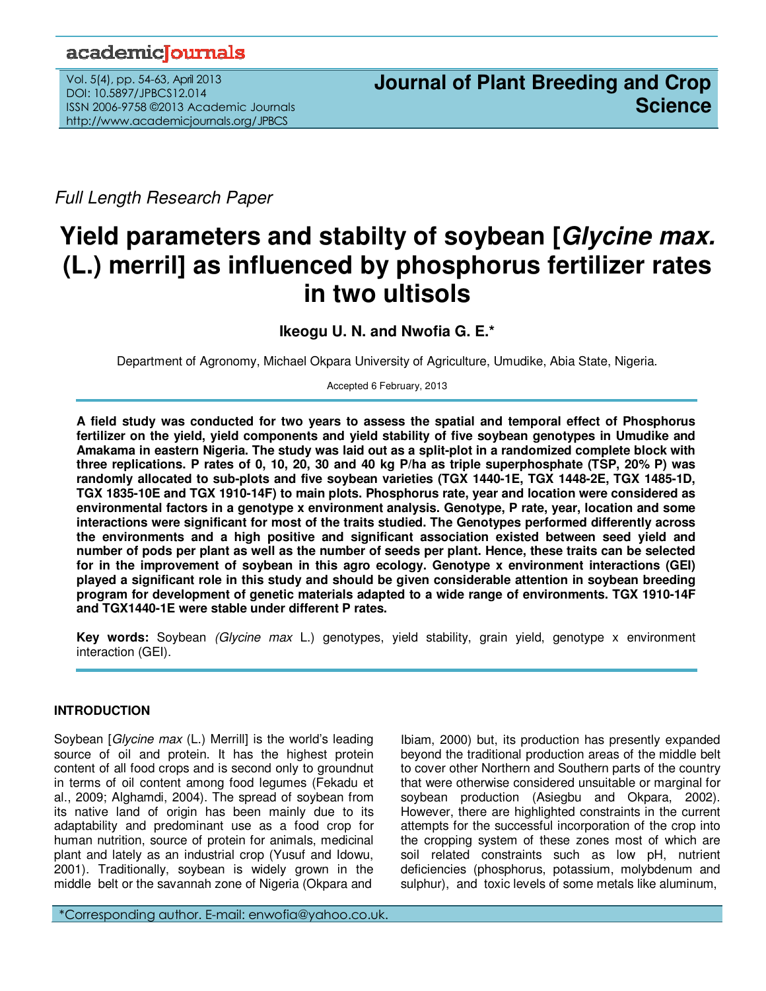# academicoournals

Vol. 5(4), pp. 54-63, April 2013 DOI: 10.5897/JPBCS12.014 ISSN 2006-9758 ©2013 Academic Journals http://www.academicjournals.org/JPBCS

Full Length Research Paper

# **Yield parameters and stabilty of soybean [Glycine max. (L.) merril] as influenced by phosphorus fertilizer rates in two ultisols**

**Ikeogu U. N. and Nwofia G. E.\*** 

Department of Agronomy, Michael Okpara University of Agriculture, Umudike, Abia State, Nigeria.

Accepted 6 February, 2013

**A field study was conducted for two years to assess the spatial and temporal effect of Phosphorus fertilizer on the yield, yield components and yield stability of five soybean genotypes in Umudike and Amakama in eastern Nigeria. The study was laid out as a split-plot in a randomized complete block with three replications. P rates of 0, 10, 20, 30 and 40 kg P/ha as triple superphosphate (TSP, 20% P) was randomly allocated to sub-plots and five soybean varieties (TGX 1440-1E, TGX 1448-2E, TGX 1485-1D, TGX 1835-10E and TGX 1910-14F) to main plots. Phosphorus rate, year and location were considered as environmental factors in a genotype x environment analysis. Genotype, P rate, year, location and some interactions were significant for most of the traits studied. The Genotypes performed differently across the environments and a high positive and significant association existed between seed yield and number of pods per plant as well as the number of seeds per plant. Hence, these traits can be selected for in the improvement of soybean in this agro ecology. Genotype x environment interactions (GEI) played a significant role in this study and should be given considerable attention in soybean breeding program for development of genetic materials adapted to a wide range of environments. TGX 1910-14F and TGX1440-1E were stable under different P rates.**

**Key words:** Soybean (Glycine max L.) genotypes, yield stability, grain yield, genotype x environment interaction (GEI).

# **INTRODUCTION**

Soybean [*Glycine max* (L.) Merrill] is the world's leading source of oil and protein. It has the highest protein content of all food crops and is second only to groundnut in terms of oil content among food legumes (Fekadu et al., 2009; Alghamdi, 2004). The spread of soybean from its native land of origin has been mainly due to its adaptability and predominant use as a food crop for human nutrition, source of protein for animals, medicinal plant and lately as an industrial crop (Yusuf and Idowu, 2001). Traditionally, soybean is widely grown in the middle belt or the savannah zone of Nigeria (Okpara and

Ibiam, 2000) but, its production has presently expanded beyond the traditional production areas of the middle belt to cover other Northern and Southern parts of the country that were otherwise considered unsuitable or marginal for soybean production (Asiegbu and Okpara, 2002). However, there are highlighted constraints in the current attempts for the successful incorporation of the crop into the cropping system of these zones most of which are soil related constraints such as low pH, nutrient deficiencies (phosphorus, potassium, molybdenum and sulphur), and toxic levels of some metals like aluminum,

\*Corresponding author. E-mail: enwofia@yahoo.co.uk.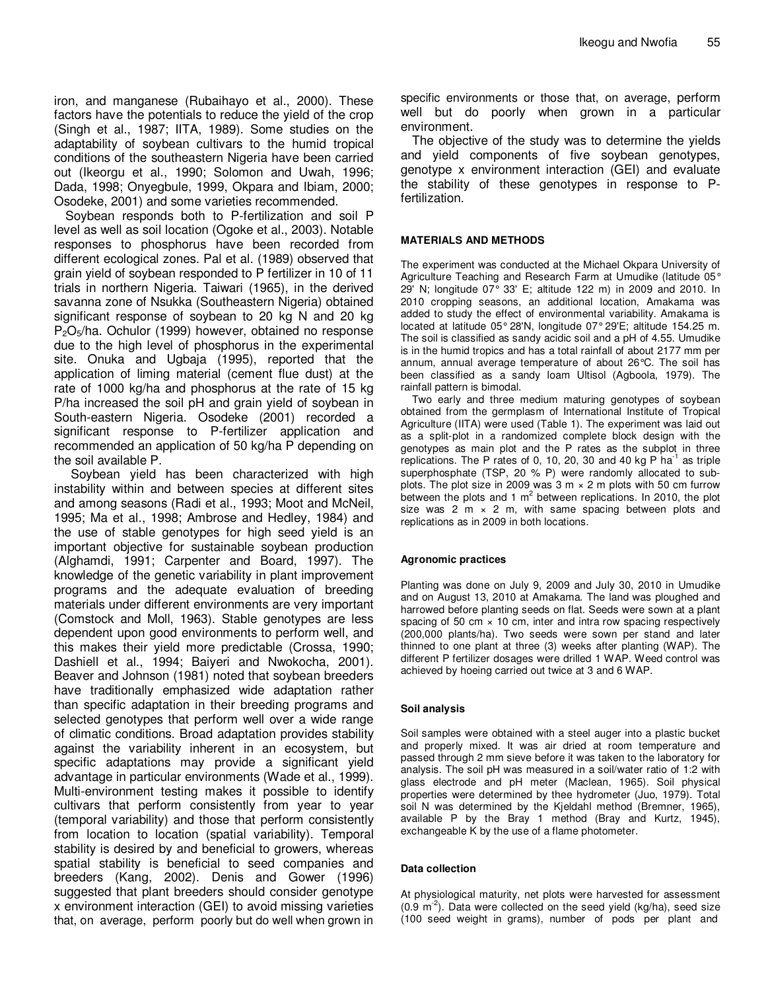iron, and manganese (Rubaihayo et al., 2000). These factors have the potentials to reduce the yield of the crop (Singh et al., 1987; IITA, 1989). Some studies on the adaptability of soybean cultivars to the humid tropical conditions of the southeastern Nigeria have been carried out (Ikeorgu et al., 1990; Solomon and Uwah, 1996; Dada, 1998; Onyegbule, 1999, Okpara and Ibiam, 2000; Osodeke, 2001) and some varieties recommended.

Soybean responds both to P-fertilization and soil P level as well as soil location (Ogoke et al., 2003). Notable responses to phosphorus have been recorded from different ecological zones. Pal et al. (1989) observed that grain yield of soybean responded to P fertilizer in 10 of 11 trials in northern Nigeria. Taiwari (1965), in the derived savanna zone of Nsukka (Southeastern Nigeria) obtained significant response of soybean to 20 kg N and 20 kg P<sub>2</sub>O<sub>5</sub>/ha. Ochulor (1999) however, obtained no response due to the high level of phosphorus in the experimental site. Onuka and Ugbaja (1995), reported that the application of liming material (cement flue dust) at the rate of 1000 kg/ha and phosphorus at the rate of 15 kg P/ha increased the soil pH and grain yield of soybean in South-eastern Nigeria. Osodeke (2001) recorded a significant response to P-fertilizer application and recommended an application of 50 kg/ha P depending on the soil available P.

Soybean yield has been characterized with high instability within and between species at different sites and among seasons (Radi et al., 1993; Moot and McNeil, 1995; Ma et al., 1998; Ambrose and Hedley, 1984) and the use of stable genotypes for high seed yield is an important objective for sustainable soybean production (Alghamdi, 1991; Carpenter and Board, 1997). The knowledge of the genetic variability in plant improvement programs and the adequate evaluation of breeding materials under different environments are very important (Comstock and Moll, 1963). Stable genotypes are less dependent upon good environments to perform well, and this makes their yield more predictable (Crossa, 1990; Dashiell et al., 1994; Baiyeri and Nwokocha, 2001). Beaver and Johnson (1981) noted that soybean breeders have traditionally emphasized wide adaptation rather than specific adaptation in their breeding programs and selected genotypes that perform well over a wide range of climatic conditions. Broad adaptation provides stability against the variability inherent in an ecosystem, but specific adaptations may provide a significant yield advantage in particular environments (Wade et al., 1999). Multi-environment testing makes it possible to identify cultivars that perform consistently from year to year (temporal variability) and those that perform consistently from location to location (spatial variability). Temporal stability is desired by and beneficial to growers, whereas spatial stability is beneficial to seed companies and breeders (Kang, 2002). Denis and Gower (1996) suggested that plant breeders should consider genotype x environment interaction (GEI) to avoid missing varieties that, on average, perform poorly but do well when grown in specific environments or those that, on average, perform well but do poorly when grown in a particular environment.

The objective of the study was to determine the yields and yield components of five soybean genotypes, genotype x environment interaction (GEI) and evaluate the stability of these genotypes in response to Pfertilization.

### **MATERIALS AND METHODS**

The experiment was conducted at the Michael Okpara University of Agriculture Teaching and Research Farm at Umudike (latitude 05° 29' N; longitude 07° 33' E; altitude 122 m) in 2009 and 2010. In 2010 cropping seasons, an additional location, Amakama was added to study the effect of environmental variability. Amakama is located at latitude 05°28'N, longitude 07°29'E; altitude 154.25 m. The soil is classified as sandy acidic soil and a pH of 4.55. Umudike is in the humid tropics and has a total rainfall of about 2177 mm per annum, annual average temperature of about 26°C. The soil has been classified as a sandy loam Ultisol (Agboola, 1979). The rainfall pattern is bimodal.

Two early and three medium maturing genotypes of soybean obtained from the germplasm of International Institute of Tropical Agriculture (IITA) were used (Table 1). The experiment was laid out as a split-plot in a randomized complete block design with the genotypes as main plot and the P rates as the subplot in three replications. The P rates of 0, 10, 20, 30 and 40 kg P  $ha^{-1}$  as triple superphosphate (TSP, 20 % P) were randomly allocated to subplots. The plot size in 2009 was  $3 \text{ m} \times 2 \text{ m}$  plots with 50 cm furrow between the plots and 1  $m^2$  between replications. In 2010, the plot size was 2 m  $\times$  2 m, with same spacing between plots and replications as in 2009 in both locations.

# **Agronomic practices**

Planting was done on July 9, 2009 and July 30, 2010 in Umudike and on August 13, 2010 at Amakama. The land was ploughed and harrowed before planting seeds on flat. Seeds were sown at a plant spacing of 50 cm  $\times$  10 cm, inter and intra row spacing respectively (200,000 plants/ha). Two seeds were sown per stand and later thinned to one plant at three (3) weeks after planting (WAP). The different P fertilizer dosages were drilled 1 WAP. Weed control was achieved by hoeing carried out twice at 3 and 6 WAP.

# **Soil analysis**

Soil samples were obtained with a steel auger into a plastic bucket and properly mixed. It was air dried at room temperature and passed through 2 mm sieve before it was taken to the laboratory for analysis. The soil pH was measured in a soil/water ratio of 1:2 with glass electrode and pH meter (Maclean, 1965). Soil physical properties were determined by thee hydrometer (Juo, 1979). Total soil N was determined by the Kjeldahl method (Bremner, 1965), available P by the Bray 1 method (Bray and Kurtz, 1945), exchangeable K by the use of a flame photometer.

#### **Data collection**

At physiological maturity, net plots were harvested for assessment  $(0.9 \text{ m}^2)$ . Data were collected on the seed yield (kg/ha), seed size (100 seed weight in grams), number of pods per plant and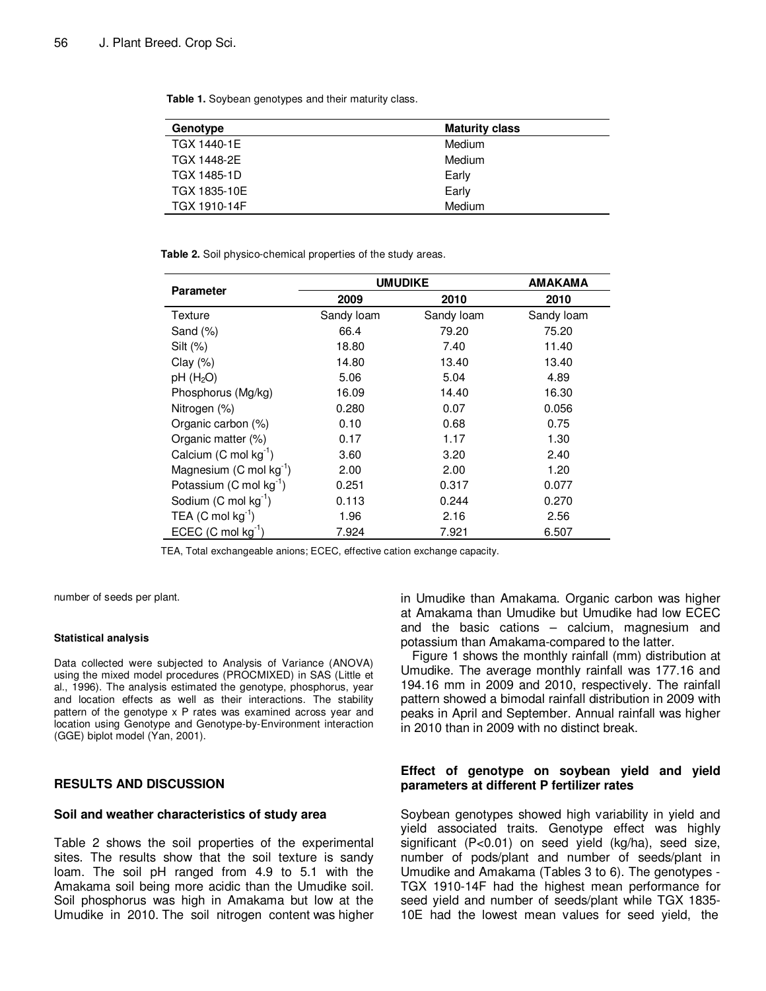**Table 1.** Soybean genotypes and their maturity class.

| Genotype           | <b>Maturity class</b> |
|--------------------|-----------------------|
| <b>TGX 1440-1E</b> | Medium                |
| TGX 1448-2E        | Medium                |
| <b>TGX 1485-1D</b> | Early                 |
| TGX 1835-10E       | Early                 |
| TGX 1910-14F       | Medium                |

**Table 2.** Soil physico-chemical properties of the study areas.

|                                     | <b>UMUDIKE</b> | AMAKAMA    |            |
|-------------------------------------|----------------|------------|------------|
| <b>Parameter</b>                    | 2009           | 2010       | 2010       |
| Texture                             | Sandy loam     | Sandy loam | Sandy loam |
| Sand $(\%)$                         | 66.4           | 79.20      | 75.20      |
| $Silt (\%)$                         | 18.80          | 7.40       | 11.40      |
| Clay $(\%)$                         | 14.80          | 13.40      | 13.40      |
| $pH$ (H <sub>2</sub> O)             | 5.06           | 5.04       | 4.89       |
| Phosphorus (Mg/kg)                  | 16.09          | 14.40      | 16.30      |
| Nitrogen (%)                        | 0.280          | 0.07       | 0.056      |
| Organic carbon (%)                  | 0.10           | 0.68       | 0.75       |
| Organic matter (%)                  | 0.17           | 1.17       | 1.30       |
| Calcium (C mol $kg^{-1}$ )          | 3.60           | 3.20       | 2.40       |
| Magnesium $(C \text{ mol kg}^{-1})$ | 2.00           | 2.00       | 1.20       |
| Potassium (C mol kg <sup>-1</sup> ) | 0.251          | 0.317      | 0.077      |
| Sodium $(C \text{ mol } kg^{-1})$   | 0.113          | 0.244      | 0.270      |
| TEA (C mol $kg^{-1}$ )              | 1.96           | 2.16       | 2.56       |
| ECEC $(C \text{ mol } kg^{-1})$     | 7.924          | 7.921      | 6.507      |

TEA, Total exchangeable anions; ECEC, effective cation exchange capacity.

number of seeds per plant.

#### **Statistical analysis**

Data collected were subjected to Analysis of Variance (ANOVA) using the mixed model procedures (PROCMIXED) in SAS (Little et al., 1996). The analysis estimated the genotype, phosphorus, year and location effects as well as their interactions. The stability pattern of the genotype x P rates was examined across year and location using Genotype and Genotype-by-Environment interaction (GGE) biplot model (Yan, 2001).

# **RESULTS AND DISCUSSION**

#### **Soil and weather characteristics of study area**

Table 2 shows the soil properties of the experimental sites. The results show that the soil texture is sandy loam. The soil pH ranged from 4.9 to 5.1 with the Amakama soil being more acidic than the Umudike soil. Soil phosphorus was high in Amakama but low at the Umudike in 2010. The soil nitrogen content was higher in Umudike than Amakama. Organic carbon was higher at Amakama than Umudike but Umudike had low ECEC and the basic cations – calcium, magnesium and potassium than Amakama-compared to the latter.

Figure 1 shows the monthly rainfall (mm) distribution at Umudike. The average monthly rainfall was 177.16 and 194.16 mm in 2009 and 2010, respectively. The rainfall pattern showed a bimodal rainfall distribution in 2009 with peaks in April and September. Annual rainfall was higher in 2010 than in 2009 with no distinct break.

# **Effect of genotype on soybean yield and yield parameters at different P fertilizer rates**

Soybean genotypes showed high variability in yield and yield associated traits. Genotype effect was highly significant (P<0.01) on seed yield (kg/ha), seed size, number of pods/plant and number of seeds/plant in Umudike and Amakama (Tables 3 to 6). The genotypes - TGX 1910-14F had the highest mean performance for seed yield and number of seeds/plant while TGX 1835- 10E had the lowest mean values for seed yield, the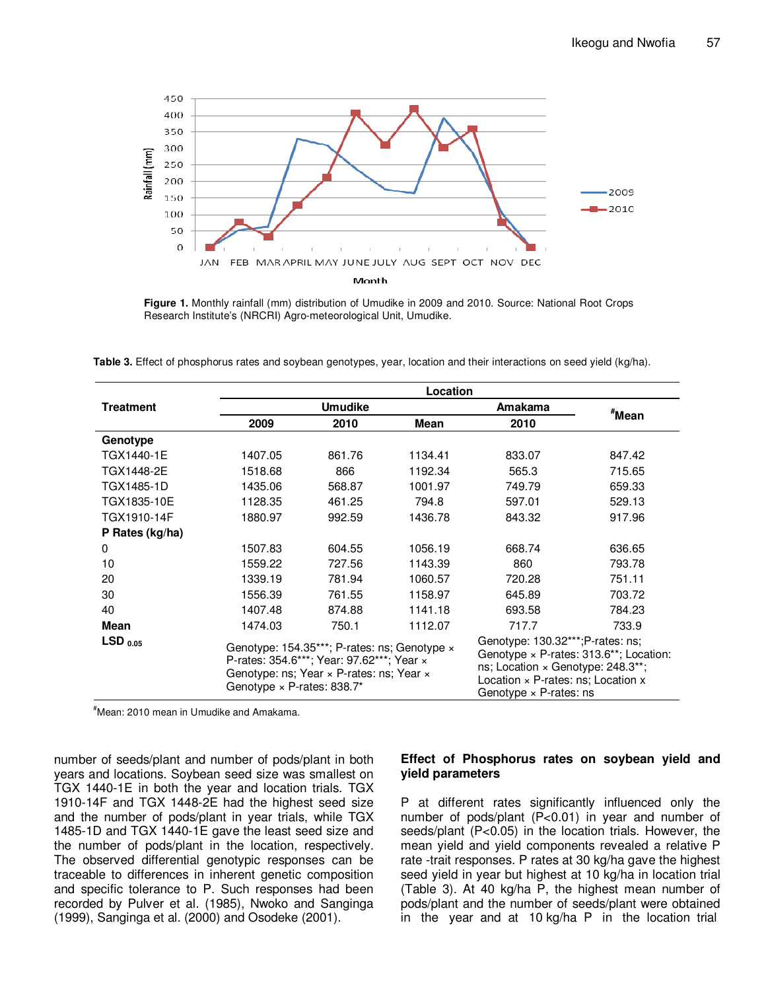

**Figure 1.** Monthly rainfall (mm) distribution of Umudike in 2009 and 2010. Source: National Root Crops Research Institute's (NRCRI) Agro-meteorological Unit, Umudike.

**Table 3.** Effect of phosphorus rates and soybean genotypes, year, location and their interactions on seed yield (kg/ha).

|                       | Location                                                                                                                                                                   |        |         |                                                                                                                                                                                   |                   |
|-----------------------|----------------------------------------------------------------------------------------------------------------------------------------------------------------------------|--------|---------|-----------------------------------------------------------------------------------------------------------------------------------------------------------------------------------|-------------------|
| <b>Treatment</b>      | <b>Umudike</b>                                                                                                                                                             |        |         | Amakama                                                                                                                                                                           |                   |
|                       | 2009                                                                                                                                                                       | 2010   | Mean    | 2010                                                                                                                                                                              | <sup>#</sup> Mean |
| Genotype              |                                                                                                                                                                            |        |         |                                                                                                                                                                                   |                   |
| TGX1440-1E            | 1407.05                                                                                                                                                                    | 861.76 | 1134.41 | 833.07                                                                                                                                                                            | 847.42            |
| TGX1448-2E            | 1518.68                                                                                                                                                                    | 866    | 1192.34 | 565.3                                                                                                                                                                             | 715.65            |
| TGX1485-1D            | 1435.06                                                                                                                                                                    | 568.87 | 1001.97 | 749.79                                                                                                                                                                            | 659.33            |
| TGX1835-10E           | 1128.35                                                                                                                                                                    | 461.25 | 794.8   | 597.01                                                                                                                                                                            | 529.13            |
| TGX1910-14F           | 1880.97                                                                                                                                                                    | 992.59 | 1436.78 | 843.32                                                                                                                                                                            | 917.96            |
| P Rates (kg/ha)       |                                                                                                                                                                            |        |         |                                                                                                                                                                                   |                   |
| $\Omega$              | 1507.83                                                                                                                                                                    | 604.55 | 1056.19 | 668.74                                                                                                                                                                            | 636.65            |
| 10                    | 1559.22                                                                                                                                                                    | 727.56 | 1143.39 | 860                                                                                                                                                                               | 793.78            |
| 20                    | 1339.19                                                                                                                                                                    | 781.94 | 1060.57 | 720.28                                                                                                                                                                            | 751.11            |
| 30                    | 1556.39                                                                                                                                                                    | 761.55 | 1158.97 | 645.89                                                                                                                                                                            | 703.72            |
| 40                    | 1407.48                                                                                                                                                                    | 874.88 | 1141.18 | 693.58                                                                                                                                                                            | 784.23            |
| Mean                  | 1474.03                                                                                                                                                                    | 750.1  | 1112.07 | 717.7                                                                                                                                                                             | 733.9             |
| $LSD$ <sub>0.05</sub> | Genotype: 154.35***; P-rates: ns; Genotype x<br>P-rates: 354.6***; Year: 97.62***; Year x<br>Genotype: ns; Year x P-rates: ns; Year x<br>Genotype $\times$ P-rates: 838.7* |        |         | Genotype: 130.32***;P-rates: ns;<br>Genotype $\times$ P-rates: 313.6**; Location:<br>ns; Location $\times$ Genotype: 248.3**;<br>Location $\times$ P-rates: ns; Location $\times$ |                   |
|                       |                                                                                                                                                                            |        |         | Genotype $\times$ P-rates: ns                                                                                                                                                     |                   |

#Mean: 2010 mean in Umudike and Amakama.

number of seeds/plant and number of pods/plant in both years and locations. Soybean seed size was smallest on TGX 1440-1E in both the year and location trials. TGX 1910-14F and TGX 1448-2E had the highest seed size and the number of pods/plant in year trials, while TGX 1485-1D and TGX 1440-1E gave the least seed size and the number of pods/plant in the location, respectively. The observed differential genotypic responses can be traceable to differences in inherent genetic composition and specific tolerance to P. Such responses had been recorded by Pulver et al. (1985), Nwoko and Sanginga (1999), Sanginga et al. (2000) and Osodeke (2001).

# **Effect of Phosphorus rates on soybean yield and yield parameters**

P at different rates significantly influenced only the number of pods/plant (P<0.01) in year and number of seeds/plant (P<0.05) in the location trials. However, the mean yield and yield components revealed a relative P rate -trait responses. P rates at 30 kg/ha gave the highest seed yield in year but highest at 10 kg/ha in location trial (Table 3). At 40 kg/ha P, the highest mean number of pods/plant and the number of seeds/plant were obtained in the year and at 10 kg/ha P in the location trial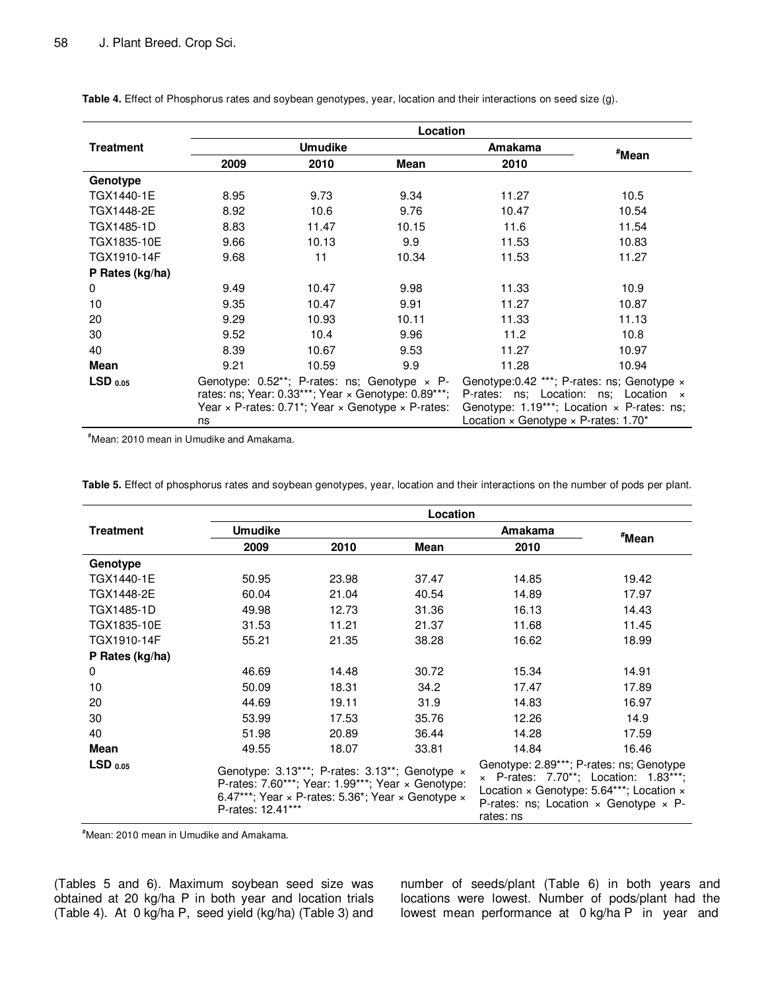|                  | Location                                                                            |       |                                     |                                                      |                   |
|------------------|-------------------------------------------------------------------------------------|-------|-------------------------------------|------------------------------------------------------|-------------------|
| <b>Treatment</b> | <b>Umudike</b>                                                                      |       |                                     | <b>Amakama</b>                                       | <sup>#</sup> Mean |
|                  | 2009                                                                                | 2010  | Mean                                | 2010                                                 |                   |
| Genotype         |                                                                                     |       |                                     |                                                      |                   |
| TGX1440-1E       | 8.95                                                                                | 9.73  | 9.34                                | 11.27                                                | 10.5              |
| TGX1448-2E       | 8.92                                                                                | 10.6  | 9.76                                | 10.47                                                | 10.54             |
| TGX1485-1D       | 8.83                                                                                | 11.47 | 10.15                               | 11.6                                                 | 11.54             |
| TGX1835-10E      | 9.66                                                                                | 10.13 | 9.9                                 | 11.53                                                | 10.83             |
| TGX1910-14F      | 9.68                                                                                | 11    | 10.34                               | 11.53                                                | 11.27             |
| P Rates (kg/ha)  |                                                                                     |       |                                     |                                                      |                   |
| 0                | 9.49                                                                                | 10.47 | 9.98                                | 11.33                                                | 10.9              |
| 10               | 9.35                                                                                | 10.47 | 9.91                                | 11.27                                                | 10.87             |
| 20               | 9.29                                                                                | 10.93 | 10.11                               | 11.33                                                | 11.13             |
| 30               | 9.52                                                                                | 10.4  | 9.96                                | 11.2                                                 | 10.8              |
| 40               | 8.39                                                                                | 10.67 | 9.53                                | 11.27                                                | 10.97             |
| Mean             | 9.21                                                                                | 10.59 | 9.9                                 | 11.28                                                | 10.94             |
| $LSD_{0.05}$     | Genotype: $0.52**$ ; P-rates: ns; Genotype $\times$ P-                              |       |                                     | Genotype: 0.42 ***; P-rates: ns; Genotype x          |                   |
|                  | rates: ns; Year: $0.33***$ ; Year $\times$ Genotype: $0.89***$ ;                    |       | P-rates: ns; Location: ns; Location | $\mathsf{x}$                                         |                   |
|                  | Year $\times$ P-rates: 0.71 <sup>*</sup> ; Year $\times$ Genotype $\times$ P-rates: |       |                                     | Genotype: $1.19***$ ; Location $\times$ P-rates: ns; |                   |
|                  | ns                                                                                  |       |                                     | Location $\times$ Genotype $\times$ P-rates: 1.70*   |                   |

**Table 4.** Effect of Phosphorus rates and soybean genotypes, year, location and their interactions on seed size (g).

#Mean: 2010 mean in Umudike and Amakama.

**Table 5.** Effect of phosphorus rates and soybean genotypes, year, location and their interactions on the number of pods per plant.

|                  | Location                                                                                                                                                                                   |       |       |                                                                                                                                                                                                                        |                   |
|------------------|--------------------------------------------------------------------------------------------------------------------------------------------------------------------------------------------|-------|-------|------------------------------------------------------------------------------------------------------------------------------------------------------------------------------------------------------------------------|-------------------|
| <b>Treatment</b> | <b>Umudike</b>                                                                                                                                                                             |       |       | Amakama                                                                                                                                                                                                                | <sup>#</sup> Mean |
|                  | 2009                                                                                                                                                                                       | 2010  | Mean  | 2010                                                                                                                                                                                                                   |                   |
| Genotype         |                                                                                                                                                                                            |       |       |                                                                                                                                                                                                                        |                   |
| TGX1440-1E       | 50.95                                                                                                                                                                                      | 23.98 | 37.47 | 14.85                                                                                                                                                                                                                  | 19.42             |
| TGX1448-2E       | 60.04                                                                                                                                                                                      | 21.04 | 40.54 | 14.89                                                                                                                                                                                                                  | 17.97             |
| TGX1485-1D       | 49.98                                                                                                                                                                                      | 12.73 | 31.36 | 16.13                                                                                                                                                                                                                  | 14.43             |
| TGX1835-10E      | 31.53                                                                                                                                                                                      | 11.21 | 21.37 | 11.68                                                                                                                                                                                                                  | 11.45             |
| TGX1910-14F      | 55.21                                                                                                                                                                                      | 21.35 | 38.28 | 16.62                                                                                                                                                                                                                  | 18.99             |
| P Rates (kg/ha)  |                                                                                                                                                                                            |       |       |                                                                                                                                                                                                                        |                   |
| $\mathbf 0$      | 46.69                                                                                                                                                                                      | 14.48 | 30.72 | 15.34                                                                                                                                                                                                                  | 14.91             |
| 10               | 50.09                                                                                                                                                                                      | 18.31 | 34.2  | 17.47                                                                                                                                                                                                                  | 17.89             |
| 20               | 44.69                                                                                                                                                                                      | 19.11 | 31.9  | 14.83                                                                                                                                                                                                                  | 16.97             |
| 30               | 53.99                                                                                                                                                                                      | 17.53 | 35.76 | 12.26                                                                                                                                                                                                                  | 14.9              |
| 40               | 51.98                                                                                                                                                                                      | 20.89 | 36.44 | 14.28                                                                                                                                                                                                                  | 17.59             |
| <b>Mean</b>      | 49.55                                                                                                                                                                                      | 18.07 | 33.81 | 14.84                                                                                                                                                                                                                  | 16.46             |
| $LSD_{0.05}$     | Genotype: $3.13***$ ; P-rates: $3.13**$ ; Genotype $\times$<br>P-rates: 7.60***; Year: 1.99***; Year × Genotype:<br>6.47***; Year × P-rates: 5.36*; Year × Genotype ×<br>P-rates: 12.41*** |       |       | Genotype: 2.89***; P-rates: ns; Genotype<br>$\times$ P-rates: 7.70**; Location: 1.83***;<br>Location $\times$ Genotype: 5.64***; Location $\times$<br>P-rates: ns; Location $\times$ Genotype $\times$ P-<br>rates: ns |                   |

#Mean: 2010 mean in Umudike and Amakama.

(Tables 5 and 6). Maximum soybean seed size was obtained at 20 kg/ha P in both year and location trials (Table 4). At 0 kg/ha P, seed yield (kg/ha) (Table 3) and

number of seeds/plant (Table 6) in both years and locations were lowest. Number of pods/plant had the lowest mean performance at 0 kg/ha P in year and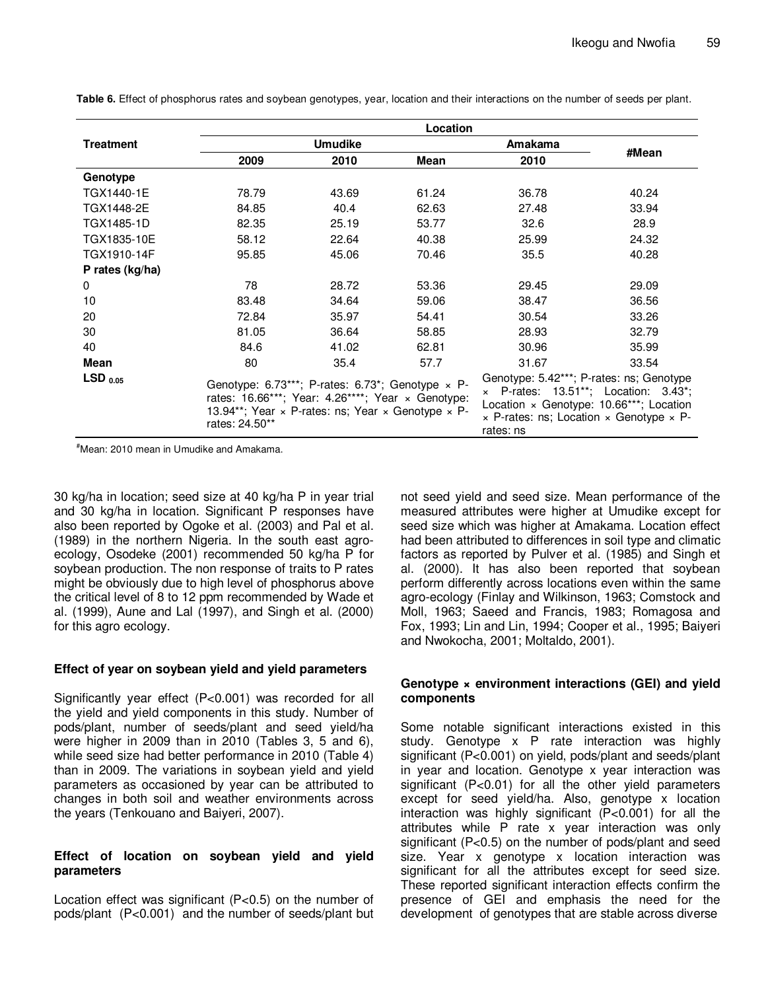|                  | Location                                                                                                                                                                                                        |       |       |                                                                                                                                                                                                                        |       |
|------------------|-----------------------------------------------------------------------------------------------------------------------------------------------------------------------------------------------------------------|-------|-------|------------------------------------------------------------------------------------------------------------------------------------------------------------------------------------------------------------------------|-------|
| <b>Treatment</b> | <b>Umudike</b>                                                                                                                                                                                                  |       |       | Amakama                                                                                                                                                                                                                |       |
|                  | 2009                                                                                                                                                                                                            | 2010  | Mean  | 2010                                                                                                                                                                                                                   | #Mean |
| Genotype         |                                                                                                                                                                                                                 |       |       |                                                                                                                                                                                                                        |       |
| TGX1440-1E       | 78.79                                                                                                                                                                                                           | 43.69 | 61.24 | 36.78                                                                                                                                                                                                                  | 40.24 |
| TGX1448-2E       | 84.85                                                                                                                                                                                                           | 40.4  | 62.63 | 27.48                                                                                                                                                                                                                  | 33.94 |
| TGX1485-1D       | 82.35                                                                                                                                                                                                           | 25.19 | 53.77 | 32.6                                                                                                                                                                                                                   | 28.9  |
| TGX1835-10E      | 58.12                                                                                                                                                                                                           | 22.64 | 40.38 | 25.99                                                                                                                                                                                                                  | 24.32 |
| TGX1910-14F      | 95.85                                                                                                                                                                                                           | 45.06 | 70.46 | 35.5                                                                                                                                                                                                                   | 40.28 |
| P rates (kg/ha)  |                                                                                                                                                                                                                 |       |       |                                                                                                                                                                                                                        |       |
| 0                | 78                                                                                                                                                                                                              | 28.72 | 53.36 | 29.45                                                                                                                                                                                                                  | 29.09 |
| 10               | 83.48                                                                                                                                                                                                           | 34.64 | 59.06 | 38.47                                                                                                                                                                                                                  | 36.56 |
| 20               | 72.84                                                                                                                                                                                                           | 35.97 | 54.41 | 30.54                                                                                                                                                                                                                  | 33.26 |
| 30               | 81.05                                                                                                                                                                                                           | 36.64 | 58.85 | 28.93                                                                                                                                                                                                                  | 32.79 |
| 40               | 84.6                                                                                                                                                                                                            | 41.02 | 62.81 | 30.96                                                                                                                                                                                                                  | 35.99 |
| Mean             | 80                                                                                                                                                                                                              | 35.4  | 57.7  | 31.67                                                                                                                                                                                                                  | 33.54 |
| $LSD_{0.05}$     | Genotype: 6.73***; P-rates: 6.73*; Genotype $\times$ P-<br>rates: 16.66***; Year: 4.26****; Year $\times$ Genotype:<br>13.94**; Year $\times$ P-rates: ns; Year $\times$ Genotype $\times$ P-<br>rates: 24.50** |       |       | Genotype: 5.42***; P-rates: ns; Genotype<br>$\times$ P-rates: 13.51**; Location: 3.43*;<br>Location $\times$ Genotype: 10.66***; Location<br>$\times$ P-rates: ns; Location $\times$ Genotype $\times$ P-<br>rates: ns |       |

**Table 6.** Effect of phosphorus rates and soybean genotypes, year, location and their interactions on the number of seeds per plant.

#Mean: 2010 mean in Umudike and Amakama.

30 kg/ha in location; seed size at 40 kg/ha P in year trial and 30 kg/ha in location. Significant P responses have also been reported by Ogoke et al. (2003) and Pal et al. (1989) in the northern Nigeria. In the south east agroecology, Osodeke (2001) recommended 50 kg/ha P for soybean production. The non response of traits to P rates might be obviously due to high level of phosphorus above the critical level of 8 to 12 ppm recommended by Wade et al. (1999), Aune and Lal (1997), and Singh et al. (2000) for this agro ecology.

# **Effect of year on soybean yield and yield parameters**

Significantly year effect (P<0.001) was recorded for all the yield and yield components in this study. Number of pods/plant, number of seeds/plant and seed yield/ha were higher in 2009 than in 2010 (Tables 3, 5 and 6), while seed size had better performance in 2010 (Table 4) than in 2009. The variations in soybean yield and yield parameters as occasioned by year can be attributed to changes in both soil and weather environments across the years (Tenkouano and Baiyeri, 2007).

# **Effect of location on soybean yield and yield parameters**

Location effect was significant (P<0.5) on the number of pods/plant (P<0.001) and the number of seeds/plant but

not seed yield and seed size. Mean performance of the measured attributes were higher at Umudike except for seed size which was higher at Amakama. Location effect had been attributed to differences in soil type and climatic factors as reported by Pulver et al. (1985) and Singh et al. (2000). It has also been reported that soybean perform differently across locations even within the same agro-ecology (Finlay and Wilkinson, 1963; Comstock and Moll, 1963; Saeed and Francis, 1983; Romagosa and Fox, 1993; Lin and Lin, 1994; Cooper et al., 1995; Baiyeri and Nwokocha, 2001; Moltaldo, 2001).

# **Genotype × environment interactions (GEI) and yield components**

Some notable significant interactions existed in this study. Genotype x P rate interaction was highly significant (P<0.001) on yield, pods/plant and seeds/plant in year and location. Genotype x year interaction was significant (P<0.01) for all the other yield parameters except for seed yield/ha. Also, genotype x location interaction was highly significant (P<0.001) for all the attributes while P rate x year interaction was only significant (P<0.5) on the number of pods/plant and seed size. Year x genotype x location interaction was significant for all the attributes except for seed size. These reported significant interaction effects confirm the presence of GEI and emphasis the need for the development of genotypes that are stable across diverse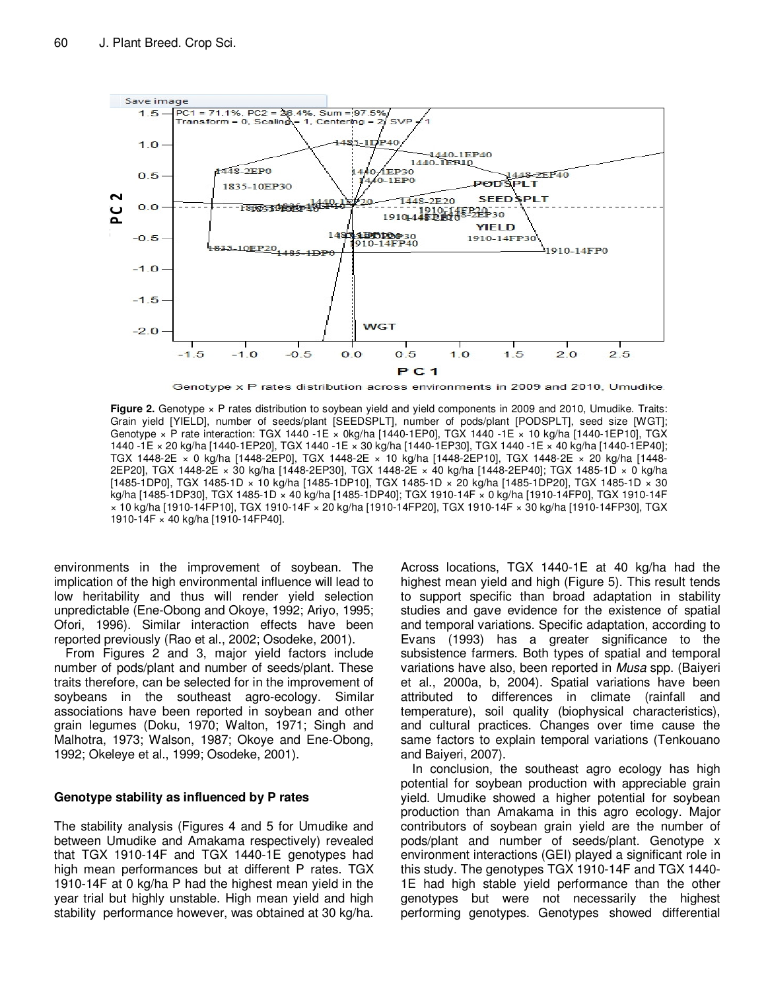

Genotype x P rates distribution across environments in 2009 and 2010, Umudike.

**Figure 2.** Genotype x P rates distribution to soybean yield and yield components in 2009 and 2010, Umudike. Traits: Grain yield [YIELD], number of seeds/plant [SEEDSPLT], number of pods/plant [PODSPLT], seed size [WGT]; Genotype × P rate interaction: TGX 1440 -1E × 0kg/ha [1440-1EP0], TGX 1440 -1E × 10 kg/ha [1440-1EP10], TGX 1440 -1E × 20 kg/ha [1440-1EP20], TGX 1440 -1E × 30 kg/ha [1440-1EP30], TGX 1440 -1E × 40 kg/ha [1440-1EP40]; TGX 1448-2E × 0 kg/ha [1448-2EP0], TGX 1448-2E × 10 kg/ha [1448-2EP10], TGX 1448-2E × 20 kg/ha [1448- 2EP20], TGX 1448-2E × 30 kg/ha [1448-2EP30], TGX 1448-2E × 40 kg/ha [1448-2EP40]; TGX 1485-1D × 0 kg/ha [1485-1DP0], TGX 1485-1D × 10 kg/ha [1485-1DP10], TGX 1485-1D × 20 kg/ha [1485-1DP20], TGX 1485-1D × 30 kg/ha [1485-1DP30], TGX 1485-1D × 40 kg/ha [1485-1DP40]; TGX 1910-14F × 0 kg/ha [1910-14FP0], TGX 1910-14F × 10 kg/ha [1910-14FP10], TGX 1910-14F × 20 kg/ha [1910-14FP20], TGX 1910-14F × 30 kg/ha [1910-14FP30], TGX 1910-14F × 40 kg/ha [1910-14FP40].

environments in the improvement of soybean. The implication of the high environmental influence will lead to low heritability and thus will render yield selection unpredictable (Ene-Obong and Okoye, 1992; Ariyo, 1995; Ofori, 1996). Similar interaction effects have been reported previously (Rao et al., 2002; Osodeke, 2001).

From Figures 2 and 3, major yield factors include number of pods/plant and number of seeds/plant. These traits therefore, can be selected for in the improvement of soybeans in the southeast agro-ecology. Similar associations have been reported in soybean and other grain legumes (Doku, 1970; Walton, 1971; Singh and Malhotra, 1973; Walson, 1987; Okoye and Ene-Obong, 1992; Okeleye et al., 1999; Osodeke, 2001).

# **Genotype stability as influenced by P rates**

The stability analysis (Figures 4 and 5 for Umudike and between Umudike and Amakama respectively) revealed that TGX 1910-14F and TGX 1440-1E genotypes had high mean performances but at different P rates. TGX 1910-14F at 0 kg/ha P had the highest mean yield in the year trial but highly unstable. High mean yield and high stability performance however, was obtained at 30 kg/ha. Across locations, TGX 1440-1E at 40 kg/ha had the highest mean yield and high (Figure 5). This result tends to support specific than broad adaptation in stability studies and gave evidence for the existence of spatial and temporal variations. Specific adaptation, according to Evans (1993) has a greater significance to the subsistence farmers. Both types of spatial and temporal variations have also, been reported in Musa spp. (Baiyeri et al., 2000a, b, 2004). Spatial variations have been attributed to differences in climate (rainfall and temperature), soil quality (biophysical characteristics), and cultural practices. Changes over time cause the same factors to explain temporal variations (Tenkouano and Baiyeri, 2007).

In conclusion, the southeast agro ecology has high potential for soybean production with appreciable grain yield. Umudike showed a higher potential for soybean production than Amakama in this agro ecology. Major contributors of soybean grain yield are the number of pods/plant and number of seeds/plant. Genotype x environment interactions (GEI) played a significant role in this study. The genotypes TGX 1910-14F and TGX 1440- 1E had high stable yield performance than the other genotypes but were not necessarily the highest performing genotypes. Genotypes showed differential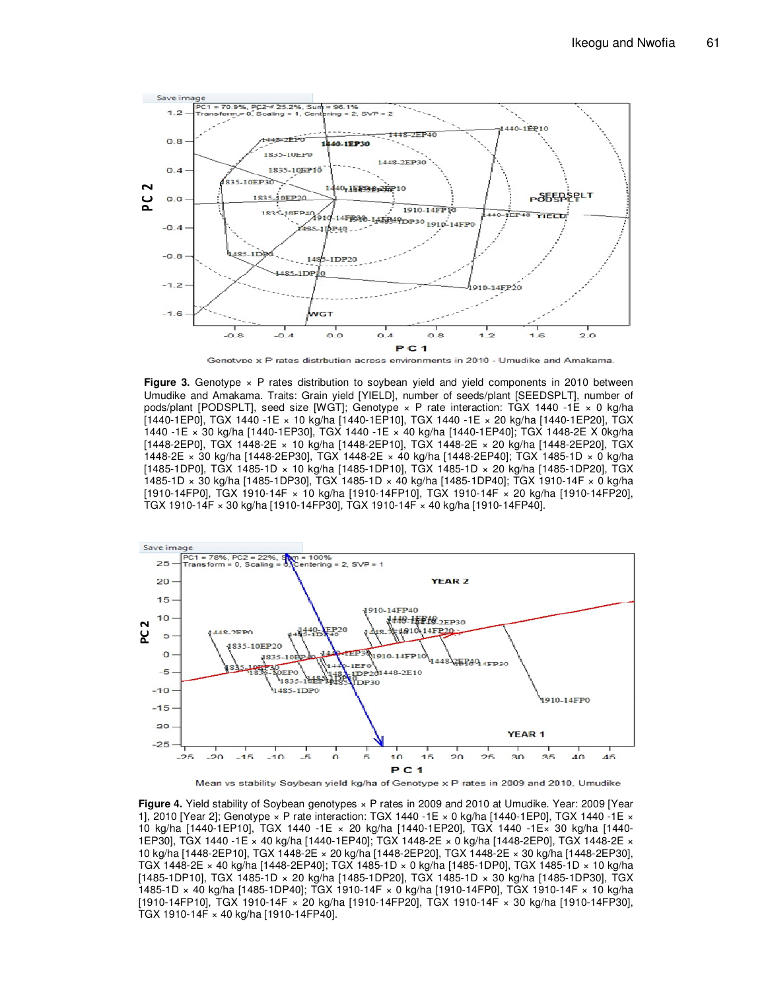

Genotvpe x P rates distrbution across environments in 2010 - Umudike and Amakama

**Figure 3.** Genotype  $\times$  P rates distribution to soybean yield and yield components in 2010 between Umudike and Amakama. Traits: Grain yield [YIELD], number of seeds/plant [SEEDSPLT], number of pods/plant [PODSPLT], seed size [WGT]; Genotype × P rate interaction: TGX 1440 -1E × 0 kg/ha [1440-1EP0], TGX 1440 -1E × 10 kg/ha [1440-1EP10], TGX 1440 -1E × 20 kg/ha [1440-1EP20], TGX 1440 -1E × 30 kg/ha [1440-1EP30], TGX 1440 -1E × 40 kg/ha [1440-1EP40]; TGX 1448-2E X 0kg/ha [1448-2EP0], TGX 1448-2E × 10 kg/ha [1448-2EP10], TGX 1448-2E × 20 kg/ha [1448-2EP20], TGX 1448-2E × 30 kg/ha [1448-2EP30], TGX 1448-2E × 40 kg/ha [1448-2EP40]; TGX 1485-1D × 0 kg/ha [1485-1DP0], TGX 1485-1D × 10 kg/ha [1485-1DP10], TGX 1485-1D × 20 kg/ha [1485-1DP20], TGX 1485-1D × 30 kg/ha [1485-1DP30], TGX 1485-1D × 40 kg/ha [1485-1DP40]; TGX 1910-14F × 0 kg/ha [1910-14FP0], TGX 1910-14F × 10 kg/ha [1910-14FP10], TGX 1910-14F × 20 kg/ha [1910-14FP20], TGX 1910-14F × 30 kg/ha [1910-14FP30], TGX 1910-14F × 40 kg/ha [1910-14FP40].





**Figure 4.** Yield stability of Soybean genotypes × P rates in 2009 and 2010 at Umudike. Year: 2009 [Year 1], 2010 [Year 2]; Genotype × P rate interaction: TGX 1440 -1E × 0 kg/ha [1440-1EP0], TGX 1440 -1E × 10 kg/ha [1440-1EP10], TGX 1440 -1E × 20 kg/ha [1440-1EP20], TGX 1440 -1E× 30 kg/ha [1440- 1EP30], TGX 1440 -1E × 40 kg/ha [1440-1EP40]; TGX 1448-2E × 0 kg/ha [1448-2EP0], TGX 1448-2E × 10 kg/ha [1448-2EP10], TGX 1448-2E × 20 kg/ha [1448-2EP20], TGX 1448-2E × 30 kg/ha [1448-2EP30], TGX 1448-2E × 40 kg/ha [1448-2EP40]; TGX 1485-1D × 0 kg/ha [1485-1DP0], TGX 1485-1D × 10 kg/ha [1485-1DP10], TGX 1485-1D × 20 kg/ha [1485-1DP20], TGX 1485-1D × 30 kg/ha [1485-1DP30], TGX 1485-1D × 40 kg/ha [1485-1DP40]; TGX 1910-14F × 0 kg/ha [1910-14FP0], TGX 1910-14F × 10 kg/ha [1910-14FP10], TGX 1910-14F × 20 kg/ha [1910-14FP20], TGX 1910-14F × 30 kg/ha [1910-14FP30], TGX 1910-14F × 40 kg/ha [1910-14FP40].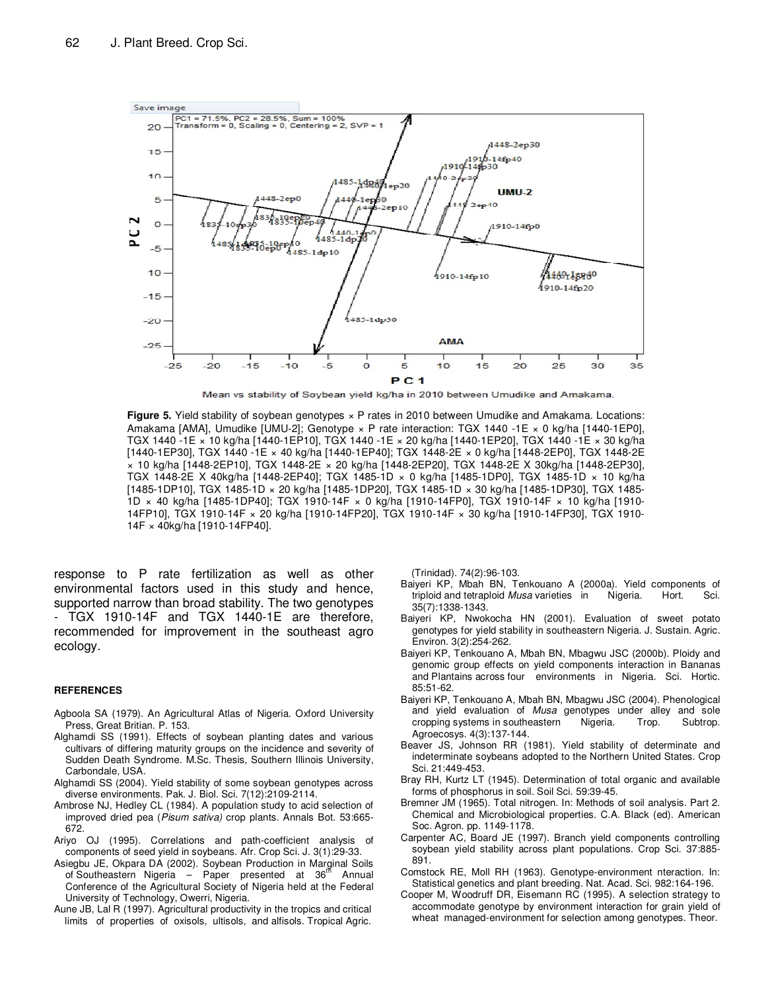

Mean vs stability of Soybean yield kg/ha in 2010 between Umudike and Amakama.

**Figure 5.** Yield stability of soybean genotypes  $\times$  P rates in 2010 between Umudike and Amakama. Locations: Amakama [AMA], Umudike [UMU-2]; Genotype × P rate interaction: TGX 1440 -1E × 0 kg/ha [1440-1EP0], TGX 1440 -1E × 10 kg/ha [1440-1EP10], TGX 1440 -1E × 20 kg/ha [1440-1EP20], TGX 1440 -1E × 30 kg/ha [1440-1EP30], TGX 1440 -1E × 40 kg/ha [1440-1EP40]; TGX 1448-2E × 0 kg/ha [1448-2EP0], TGX 1448-2E × 10 kg/ha [1448-2EP10], TGX 1448-2E × 20 kg/ha [1448-2EP20], TGX 1448-2E X 30kg/ha [1448-2EP30], TGX 1448-2E X 40kg/ha [1448-2EP40]; TGX 1485-1D × 0 kg/ha [1485-1DP0], TGX 1485-1D × 10 kg/ha [1485-1DP10], TGX 1485-1D × 20 kg/ha [1485-1DP20], TGX 1485-1D × 30 kg/ha [1485-1DP30], TGX 1485- 1D × 40 kg/ha [1485-1DP40]; TGX 1910-14F × 0 kg/ha [1910-14FP0], TGX 1910-14F × 10 kg/ha [1910- 14FP10], TGX 1910-14F × 20 kg/ha [1910-14FP20], TGX 1910-14F × 30 kg/ha [1910-14FP30], TGX 1910- 14F × 40kg/ha [1910-14FP40].

response to P rate fertilization as well as other environmental factors used in this study and hence, supported narrow than broad stability. The two genotypes - TGX 1910-14F and TGX 1440-1E are therefore, recommended for improvement in the southeast agro ecology.

#### **REFERENCES**

- Agboola SA (1979). An Agricultural Atlas of Nigeria. Oxford University Press, Great Britian. P. 153.
- Alghamdi SS (1991). Effects of soybean planting dates and various cultivars of differing maturity groups on the incidence and severity of Sudden Death Syndrome. M.Sc. Thesis, Southern Illinois University, Carbondale, USA.
- Alghamdi SS (2004). Yield stability of some soybean genotypes across diverse environments. Pak. J. Biol. Sci. 7(12):2109-2114.
- Ambrose NJ, Hedley CL (1984). A population study to acid selection of improved dried pea (Pisum sativa) crop plants. Annals Bot. 53:665-672.
- Ariyo OJ (1995). Correlations and path-coefficient analysis of components of seed yield in soybeans. Afr. Crop Sci. J. 3(1):29-33.
- Asiegbu JE, Okpara DA (2002). Soybean Production in Marginal Soils of Southeastern Nigeria – Paper presented at 36<sup>th</sup> Annual Conference of the Agricultural Society of Nigeria held at the Federal University of Technology, Owerri, Nigeria.
- Aune JB, Lal R (1997). Agricultural productivity in the tropics and critical limits of properties of oxisols, ultisols, and alfisols. Tropical Agric.

(Trinidad). 74(2):96-103.

- Baiyeri KP, Mbah BN, Tenkouano A (2000a). Yield components of triploid and tetraploid *Musa* varieties in Nigeria. Hort. Sci. triploid and tetraploid Musa varieties in Nigeria. Hort. 35(7):1338-1343.
- Baiyeri KP, Nwokocha HN (2001). Evaluation of sweet potato genotypes for yield stability in southeastern Nigeria. J. Sustain. Agric. Environ. 3(2):254-262.
- Baiyeri KP, Tenkouano A, Mbah BN, Mbagwu JSC (2000b). Ploidy and genomic group effects on yield components interaction in Bananas and Plantains across four environments in Nigeria. Sci. Hortic. 85:51-62.
- Baiyeri KP, Tenkouano A, Mbah BN, Mbagwu JSC (2004). Phenological and yield evaluation of Musa genotypes under alley and sole cropping systems in southeastern Nigeria. Trop. Subtrop. Agroecosys. 4(3):137-144.
- Beaver JS, Johnson RR (1981). Yield stability of determinate and indeterminate soybeans adopted to the Northern United States. Crop Sci. 21:449-453.
- Bray RH, Kurtz LT (1945). Determination of total organic and available forms of phosphorus in soil. Soil Sci. 59:39-45.
- Bremner JM (1965). Total nitrogen. In: Methods of soil analysis. Part 2. Chemical and Microbiological properties. C.A. Black (ed). American Soc. Agron. pp. 1149-1178.
- Carpenter AC, Board JE (1997). Branch yield components controlling soybean yield stability across plant populations. Crop Sci. 37:885- 891.
- Comstock RE, Moll RH (1963). Genotype-environment nteraction. In: Statistical genetics and plant breeding. Nat. Acad. Sci. 982:164-196.
- Cooper M, Woodruff DR, Eisemann RC (1995). A selection strategy to accommodate genotype by environment interaction for grain yield of wheat managed-environment for selection among genotypes. Theor.